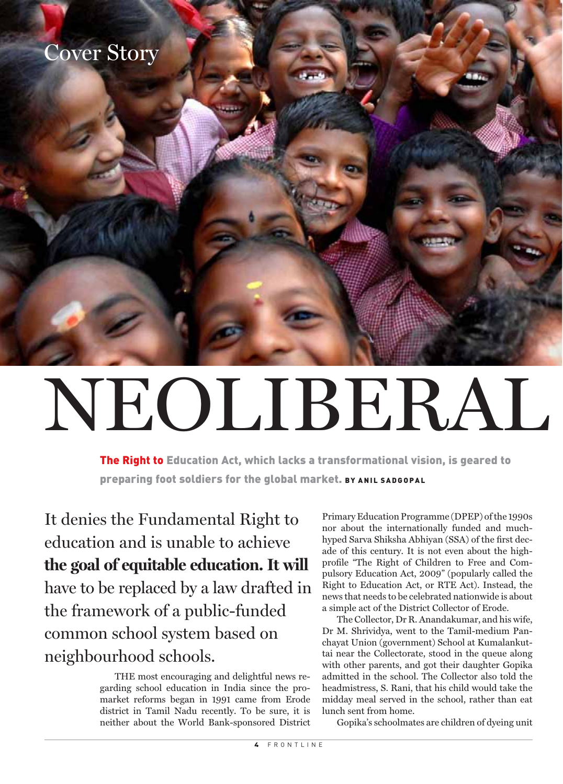## Cover Story

# NEOLIBERAL

The Right to Education Act, which lacks a transformational vision, is geared to preparing foot soldiers for the global market. BY ANIL SADGOPAL

It denies the Fundamental Right to education and is unable to achieve **the goal of equitable education. It will** have to be replaced by a law drafted in the framework of a public-funded common school system based on neighbourhood schools.

> THE most encouraging and delightful news regarding school education in India since the promarket reforms began in 1991 came from Erode district in Tamil Nadu recently. To be sure, it is neither about the World Bank-sponsored District

Primary Education Programme (DPEP) of the 1990s nor about the internationally funded and muchhyped Sarva Shiksha Abhiyan (SSA) of the first decade of this century. It is not even about the highprofile "The Right of Children to Free and Compulsory Education Act, 2009" (popularly called the Right to Education Act, or RTE Act). Instead, the news that needs to be celebrated nationwide is about a simple act of the District Collector of Erode.

JULY 15, 2011

The Collector, Dr R. Anandakumar, and his wife, Dr M. Shrividya, went to the Tamil-medium Panchayat Union (government) School at Kumalankuttai near the Collectorate, stood in the queue along with other parents, and got their daughter Gopika admitted in the school. The Collector also told the headmistress, S. Rani, that his child would take the midday meal served in the school, rather than eat lunch sent from home.

Gopika's schoolmates are children of dyeing unit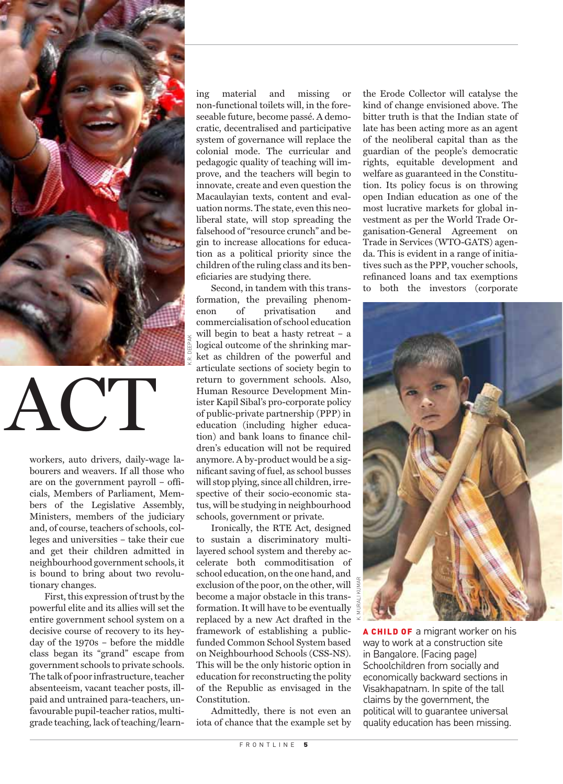

ACT

workers, auto drivers, daily-wage labourers and weavers. If all those who are on the government payroll – officials, Members of Parliament, Members of the Legislative Assembly, Ministers, members of the judiciary and, of course, teachers of schools, colleges and universities – take their cue and get their children admitted in neighbourhood government schools, it is bound to bring about two revolutionary changes.

First, this expression of trust by the powerful elite and its allies will set the entire government school system on a decisive course of recovery to its heyday of the 1970s – before the middle class began its "grand" escape from government schools to private schools. The talk of poor infrastructure, teacher absenteeism, vacant teacher posts, illpaid and untrained para-teachers, unfavourable pupil-teacher ratios, multigrade teaching, lack of teaching/learn-

ing material and missing or non-functional toilets will, in the foreseeable future, become passé. A democratic, decentralised and participative system of governance will replace the colonial mode. The curricular and pedagogic quality of teaching will improve, and the teachers will begin to innovate, create and even question the Macaulayian texts, content and evaluation norms. The state, even this neoliberal state, will stop spreading the falsehood of "resource crunch" and begin to increase allocations for education as a political priority since the children of the ruling class and its beneficiaries are studying there.

Second, in tandem with this transformation, the prevailing phenomenon of privatisation and commercialisation of school education will begin to beat a hasty retreat – a logical outcome of the shrinking market as children of the powerful and articulate sections of society begin to return to government schools. Also, Human Resource Development Minister Kapil Sibal's pro-corporate policy of public-private partnership (PPP) in education (including higher education) and bank loans to finance children's education will not be required anymore. A by-product would be a significant saving of fuel, as school busses will stop plying, since all children, irrespective of their socio-economic status, will be studying in neighbourhood schools, government or private.

K.R. DEEPAK

Ironically, the RTE Act, designed to sustain a discriminatory multilayered school system and thereby accelerate both commoditisation of school education, on the one hand, and exclusion of the poor, on the other, will become a major obstacle in this transformation. It will have to be eventually replaced by a new Act drafted in the framework of establishing a publicfunded Common School System based on Neighbourhood Schools (CSS-NS). This will be the only historic option in education for reconstructing the polity of the Republic as envisaged in the Constitution.

Admittedly, there is not even an iota of chance that the example set by

the Erode Collector will catalyse the kind of change envisioned above. The bitter truth is that the Indian state of late has been acting more as an agent of the neoliberal capital than as the guardian of the people's democratic rights, equitable development and welfare as guaranteed in the Constitution. Its policy focus is on throwing open Indian education as one of the most lucrative markets for global investment as per the World Trade Organisation-General Agreement on Trade in Services (WTO-GATS) agenda. This is evident in a range of initiatives such as the PPP, voucher schools, refinanced loans and tax exemptions to both the investors (corporate



**A CHILD OF** a migrant worker on his way to work at a construction site in Bangalore. (Facing page) Schoolchildren from socially and economically backward sections in Visakhapatnam. In spite of the tall claims by the government, the political will to guarantee universal quality education has been missing.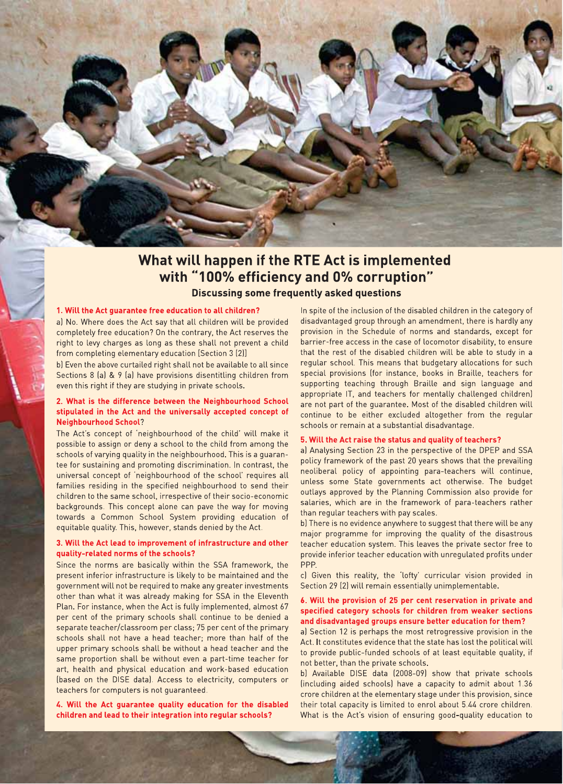

### What will happen if the RTE Act is implemented with "100% efficiency and 0% corruption" **Discussing some frequently asked questions**

#### 1. Will the Act guarantee free education to all children?

a) No. Where does the Act say that all children will be provided completely free education? On the contrary, the Act reserves the right to levy charges as long as these shall not prevent a child from completing elementary education [Section 3 (2)]

b) Even the above curtailed right shall not be available to all since Sections 8 (a) & 9 (a) have provisions disentitling children from even this right if they are studying in private schools.

#### 2. What is the difference between the Neighbourhood School stipulated in the Act and the universally accepted concept of **Neighbourhood School?**

The Act's concept of 'neighbourhood of the child' will make it possible to assign or deny a school to the child from among the schools of varying quality in the neighbourhood. This is a quarantee for sustaining and promoting discrimination. In contrast, the universal concept of 'neighbourhood of the school' requires all families residing in the specified neighbourhood to send their children to the same school, irrespective of their socio-economic backgrounds. This concept alone can pave the way for moving towards a Common School System providing education of equitable quality. This, however, stands denied by the Act.

#### 3. Will the Act lead to improvement of infrastructure and other quality-related norms of the schools?

Since the norms are basically within the SSA framework, the present inferior infrastructure is likely to be maintained and the government will not be required to make any greater investments other than what it was already making for SSA in the Eleventh Plan. For instance, when the Act is fully implemented, almost 67 per cent of the primary schools shall continue to be denied a separate teacher/classroom per class; 75 per cent of the primary schools shall not have a head teacher: more than half of the upper primary schools shall be without a head teacher and the same proportion shall be without even a part-time teacher for art, health and physical education and work-based education (based on the DISE data). Access to electricity, computers or teachers for computers is not guaranteed.

4. Will the Act quarantee quality education for the disabled children and lead to their integration into regular schools?

In spite of the inclusion of the disabled children in the category of disadvantaged group through an amendment, there is hardly any provision in the Schedule of norms and standards, except for barrier-free access in the case of locomotor disability, to ensure that the rest of the disabled children will be able to study in a regular school. This means that budgetary allocations for such special provisions (for instance, books in Braille, teachers for supporting teaching through Braille and sign language and appropriate IT, and teachers for mentally challenged children) are not part of the quarantee. Most of the disabled children will continue to be either excluded altogether from the regular schools or remain at a substantial disadvantage.

#### 5. Will the Act raise the status and quality of teachers?

a) Analysing Section 23 in the perspective of the DPEP and SSA policy framework of the past 20 years shows that the prevailing neoliberal policy of appointing para-teachers will continue, unless some State governments act otherwise. The budget outlays approved by the Planning Commission also provide for salaries, which are in the framework of para-teachers rather than regular teachers with pay scales.

b) There is no evidence anywhere to suggest that there will be any major programme for improving the quality of the disastrous teacher education system. This leaves the private sector free to provide inferior teacher education with unregulated profits under PPP.

c) Given this reality, the 'lofty' curricular vision provided in Section 29 (2) will remain essentially unimplementable.

#### 6. Will the provision of 25 per cent reservation in private and specified category schools for children from weaker sections and disadvantaged groups ensure better education for them?

a) Section 12 is perhaps the most retrogressive provision in the Act. It constitutes evidence that the state has lost the political will to provide public-funded schools of at least equitable quality, if not better, than the private schools.

b) Available DISE data (2008-09) show that private schools (including aided schools) have a capacity to admit about 1.36 crore children at the elementary stage under this provision, since their total capacity is limited to enrol about 5.44 crore children. What is the Act's vision of ensuring good-quality education to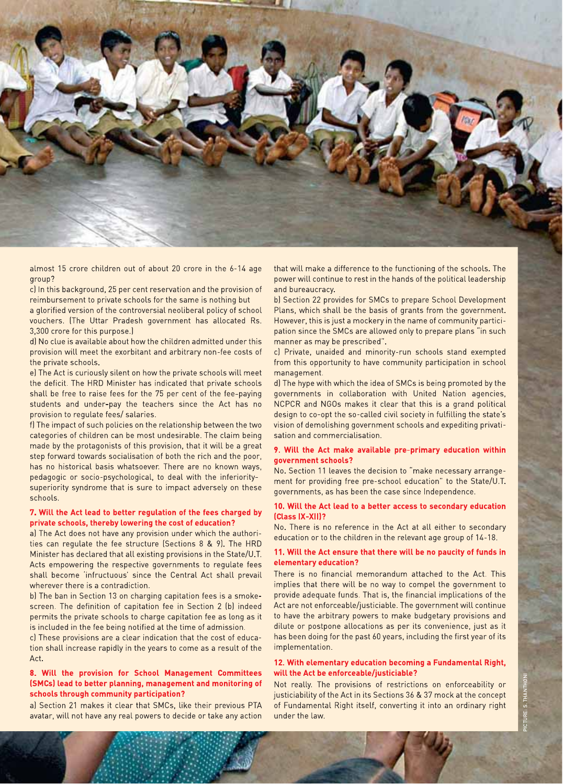

almost 15 crore children out of about 20 crore in the 6-14 age aroup?

c) In this background, 25 per cent reservation and the provision of reimbursement to private schools for the same is nothing but

a glorified version of the controversial neoliberal policy of school vouchers. (The Uttar Pradesh government has allocated Rs. 3,300 crore for this purpose.)

d) No clue is available about how the children admitted under this provision will meet the exorbitant and arbitrary non-fee costs of the private schools.

e) The Act is curiously silent on how the private schools will meet the deficit. The HRD Minister has indicated that private schools shall be free to raise fees for the 75 per cent of the fee-paying students and under-pay the teachers since the Act has no provision to regulate fees/ salaries.

f) The impact of such policies on the relationship between the two categories of children can be most undesirable. The claim being made by the protagonists of this provision, that it will be a great step forward towards socialisation of both the rich and the poor, has no historical basis whatsoever. There are no known ways, pedagogic or socio-psychological, to deal with the inferioritysuperiority syndrome that is sure to impact adversely on these schools.

#### 7. Will the Act lead to better regulation of the fees charged by private schools, thereby lowering the cost of education?

a) The Act does not have any provision under which the authorities can regulate the fee structure (Sections 8 & 9). The HRD Minister has declared that all existing provisions in the State/U.T. Acts empowering the respective governments to regulate fees shall become 'infructuous' since the Central Act shall prevail wherever there is a contradiction.

b) The ban in Section 13 on charging capitation fees is a smokescreen. The definition of capitation fee in Section 2 (b) indeed permits the private schools to charge capitation fee as long as it is included in the fee being notified at the time of admission.

c) These provisions are a clear indication that the cost of education shall increase rapidly in the years to come as a result of the  $Act$ 

#### 8. Will the provision for School Management Committees (SMCs) lead to better planning, management and monitoring of schools through community participation?

a) Section 21 makes it clear that SMCs, like their previous PTA avatar, will not have any real powers to decide or take any action

that will make a difference to the functioning of the schools. The power will continue to rest in the hands of the political leadership and bureaucracy.

b) Section 22 provides for SMCs to prepare School Development Plans, which shall be the basis of grants from the government. However, this is just a mockery in the name of community participation since the SMCs are allowed only to prepare plans "in such manner as may be prescribed".

c) Private, unaided and minority-run schools stand exempted from this opportunity to have community participation in school management.

d) The hype with which the idea of SMCs is being promoted by the governments in collaboration with United Nation agencies, NCPCR and NGOs makes it clear that this is a grand political design to co-opt the so-called civil society in fulfilling the state's vision of demolishing government schools and expediting privatisation and commercialisation.

#### 9. Will the Act make available pre-primary education within qovernment schools?

No. Section 11 leaves the decision to "make necessary arrangement for providing free pre-school education" to the State/U.T. governments, as has been the case since Independence.

#### 10. Will the Act lead to a better access to secondary education (Class IX-XII)?

No. There is no reference in the Act at all either to secondary education or to the children in the relevant age group of 14-18.

#### 11. Will the Act ensure that there will be no paucity of funds in elementary education?

There is no financial memorandum attached to the Act. This implies that there will be no way to compel the government to provide adequate funds. That is, the financial implications of the Act are not enforceable/justiciable. The government will continue to have the arbitrary powers to make budgetary provisions and dilute or postpone allocations as per its convenience, just as it has been doing for the past 60 years, including the first year of its implementation.

#### 12. With elementary education becoming a Fundamental Right, will the Act be enforceable/justiciable?

Not really. The provisions of restrictions on enforceability or justiciability of the Act in its Sections 36 & 37 mock at the concept of Fundamental Right itself, converting it into an ordinary right under the law.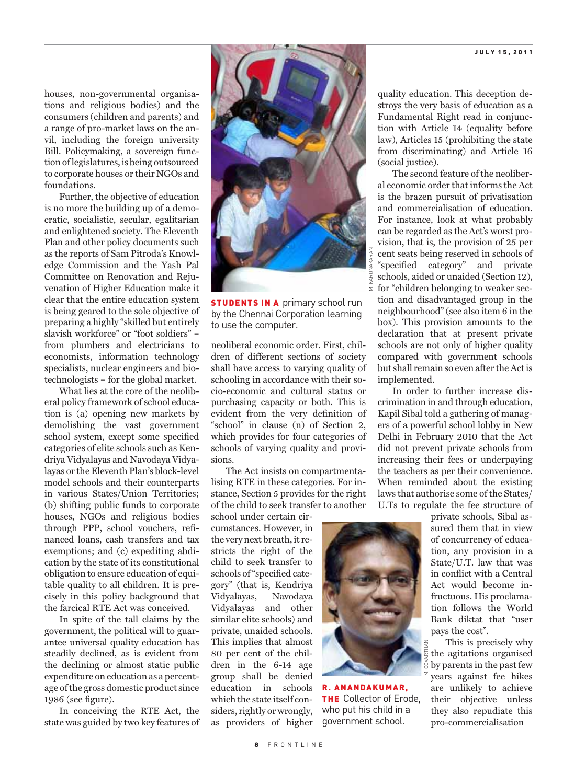houses, non-governmental organisations and religious bodies) and the consumers (children and parents) and a range of pro-market laws on the anvil, including the foreign university Bill. Policymaking, a sovereign function of legislatures, is being outsourced to corporate houses or their NGOs and foundations.

Further, the objective of education is no more the building up of a democratic, socialistic, secular, egalitarian and enlightened society. The Eleventh Plan and other policy documents such as the reports of Sam Pitroda's Knowledge Commission and the Yash Pal Committee on Renovation and Rejuvenation of Higher Education make it clear that the entire education system is being geared to the sole objective of preparing a highly "skilled but entirely slavish workforce" or "foot soldiers" – from plumbers and electricians to economists, information technology specialists, nuclear engineers and biotechnologists – for the global market.

What lies at the core of the neoliberal policy framework of school education is (a) opening new markets by demolishing the vast government school system, except some specified categories of elite schools such as Kendriya Vidyalayas and Navodaya Vidyalayas or the Eleventh Plan's block-level model schools and their counterparts in various States/Union Territories; (b) shifting public funds to corporate houses, NGOs and religious bodies through PPP, school vouchers, refinanced loans, cash transfers and tax exemptions; and (c) expediting abdication by the state of its constitutional obligation to ensure education of equitable quality to all children. It is precisely in this policy background that the farcical RTE Act was conceived.

In spite of the tall claims by the government, the political will to guarantee universal quality education has steadily declined, as is evident from the declining or almost static public expenditure on education as a percentage of the gross domestic product since 1986 (see figure).

In conceiving the RTE Act, the state was guided by two key features of



**STUDENTS IN A primary school run** by the Chennai Corporation learning to use the computer.

neoliberal economic order. First, children of different sections of society shall have access to varying quality of schooling in accordance with their socio-economic and cultural status or purchasing capacity or both. This is evident from the very definition of "school" in clause (n) of Section 2, which provides for four categories of schools of varying quality and provisions.

The Act insists on compartmentalising RTE in these categories. For instance, Section 5 provides for the right of the child to seek transfer to another

school under certain circumstances. However, in the very next breath, it restricts the right of the child to seek transfer to schools of "specified category" (that is, Kendriya Vidyalayas, Navodaya Vidyalayas and other similar elite schools) and private, unaided schools. This implies that almost 80 per cent of the children in the 6-14 age group shall be denied education in schools which the state itself considers, rightly or wrongly, as providers of higher

quality education. This deception destroys the very basis of education as a Fundamental Right read in conjunction with Article 14 (equality before law), Articles 15 (prohibiting the state from discriminating) and Article 16 (social justice).

The second feature of the neoliberal economic order that informs the Act is the brazen pursuit of privatisation and commercialisation of education. For instance, look at what probably can be regarded as the Act's worst provision, that is, the provision of 25 per cent seats being reserved in schools of "specified category" and private schools, aided or unaided (Section 12), for "children belonging to weaker section and disadvantaged group in the neighbourhood" (see also item 6 in the box). This provision amounts to the declaration that at present private schools are not only of higher quality compared with government schools but shall remain so even after the Act is implemented.

In order to further increase discrimination in and through education, Kapil Sibal told a gathering of managers of a powerful school lobby in New Delhi in February 2010 that the Act did not prevent private schools from increasing their fees or underpaying the teachers as per their convenience. When reminded about the existing laws that authorise some of the States/ U.Ts to regulate the fee structure of



R. ANANDAKUMAR, **THE Collector of Erode.** who put his child in a government school.

private schools, Sibal assured them that in view of concurrency of education, any provision in a State/U.T. law that was in conflict with a Central Act would become infructuous. His proclamation follows the World Bank diktat that "user pays the cost".

This is precisely why the agitations organised by parents in the past few years against fee hikes are unlikely to achieve their objective unless they also repudiate this pro-commercialisation